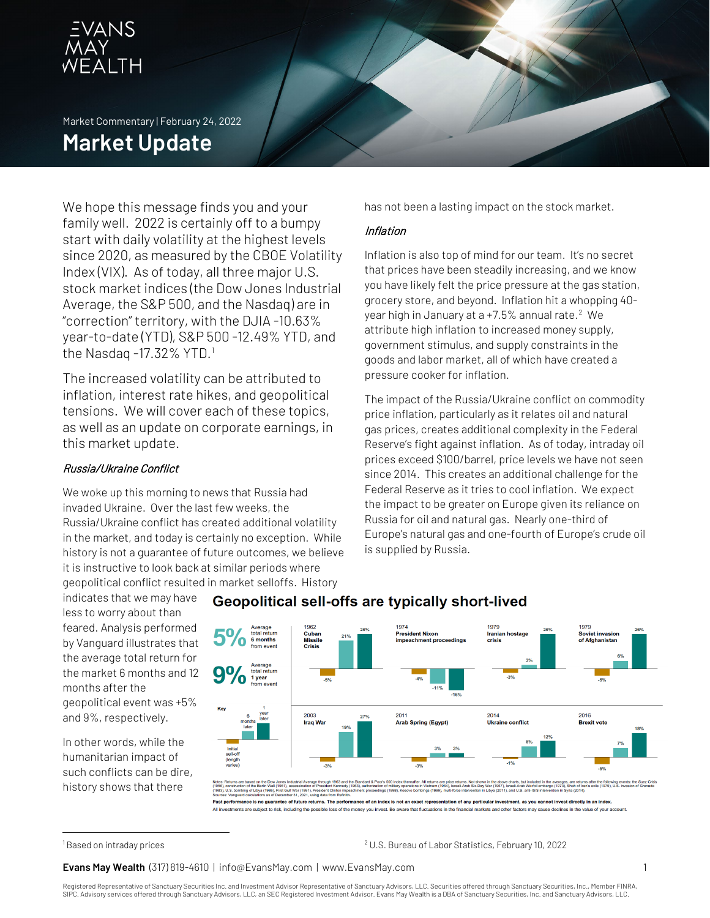

Market Commentary | February 24, 2022

# **Market Update**

We hope this message finds you and your family well. 2022 is certainly off to a bumpy start with daily volatility at the highest levels since 2020, as measured by the CBOE Volatility Index (VIX). As of today, all three major U.S. stock market indices (the Dow Jones Industrial Average, the S&P 500, and the Nasdaq) are in "correction" territory, with the DJIA -10.63% year-to-date (YTD), S&P 500 -12.49% YTD, and the Nasdaq -[1](#page-0-0)7.32% YTD.<sup>1</sup>

The increased volatility can be attributed to inflation, interest rate hikes, and geopolitical tensions. We will cover each of these topics, as well as an update on corporate earnings, in this market update.

# Russia/Ukraine Conflict

We woke up this morning to news that Russia had invaded Ukraine. Over the last few weeks, the Russia/Ukraine conflict has created additional volatility in the market, and today is certainly no exception. While history is not a guarantee of future outcomes, we believe it is instructive to look back at similar periods where geopolitical conflict resulted in market selloffs. History

indicates that we may have less to worry about than feared. Analysis performed by Vanguard illustrates that the average total return for the market 6 months and 12 months after the geopolitical event was +5% and 9%, respectively.

In other words, while the humanitarian impact of such conflicts can be dire, history shows that there

 $1974$ 1979 1979 Presid Irania<br>crisis Soviet in<br>of Afgha total return<br>1 year 2003 2011 2014<br>Ukraine co 2016<br>Brexit **Iraq War Arab Spring (Egypt)** 

Geopolitical sell-offs are typically short-lived

Past performance is no guarantee of future returns. The pe <u>.</u><br>Ilar investment, as you cannot invest directly in an index

estments are subject to risk, including the possible loss of the money you invest. Be aware that fluctuations in the financial markets and other factors may cause declines in the value of your account

<sup>2</sup> U.S. Bureau of Labor Statistics, February 10, 2022

**Evans May Wealth** (317) 819-4610 | info@EvansMay.com | www.EvansMay.com 1

has not been a lasting impact on the stock market.

### Inflation

Inflation is also top of mind for our team. It's no secret that prices have been steadily increasing, and we know you have likely felt the price pressure at the gas station, grocery store, and beyond. Inflation hit a whopping 40- year high in January at a +7.5% annual rate.<sup>[2](#page-0-0)</sup> We attribute high inflation to increased money supply, government stimulus, and supply constraints in the goods and labor market, all of which have created a pressure cooker for inflation.

The impact of the Russia/Ukraine conflict on commodity price inflation, particularly as it relates oil and natural gas prices, creates additional complexity in the Federal Reserve's fight against inflation. As of today, intraday oil prices exceed \$100/barrel, price levels we have not seen since 2014. This creates an additional challenge for the Federal Reserve as it tries to cool inflation. We expect the impact to be greater on Europe given its reliance on Russia for oil and natural gas. Nearly one-third of Europe's natural gas and one-fourth of Europe's crude oil is supplied by Russia.

Registered Representative of Sanctuary Securities Inc. and Investment Advisor Representative of Sanctuary Advisors, LLC. Securities offered through Sanctuary Securities, Inc., Member FINRA, SIPC. Advisory services offered through Sanctuary Advisors, LLC, an SEC Registered Investment Advisor. Evans May Wealth is a DBA of Sanctuary Securities, Inc. and Sanctuary Advisors, LLC.

<span id="page-0-0"></span><sup>1</sup> Based on intraday prices